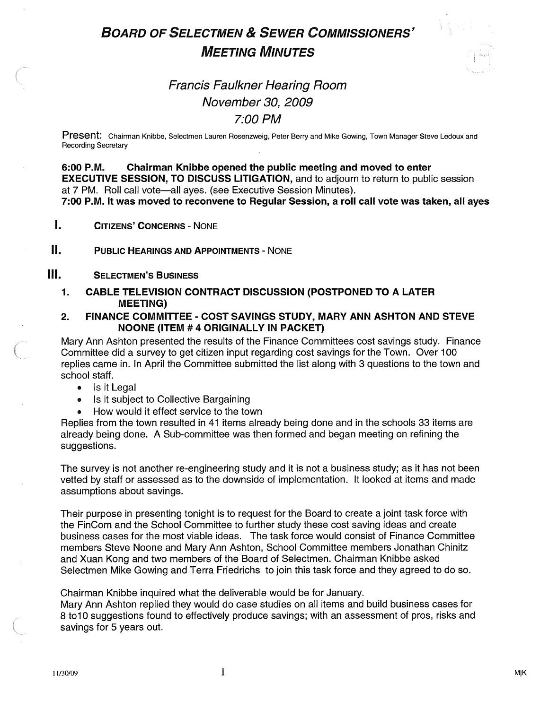# BOARD OF SELECTMEN & SEWER COMMISSIONERS' MEETING MINUTES



## Francis Faulkner Hearing Room November 30, 2009 7:00 PM

Present: Chairman Knibbe, Selectmen Lauren Rosenzweig, Peter Berry and Mike Gowing, Town Manager Steve Ledoux and Recording Secretary

6:00 P.M. Chairman Knibbe opened the public meeting and moved to enter EXECUTIVE SESSION, TO DISCUSS LITIGATION, and to adjourn to return to public session at 7 PM. Roll call vote—all ayes. (see Executive Session Minutes). 7:00 P.M. It was moved to reconvene to Regular Session, a roll call vote was taken, all ayes

 $\mathbf{I}$ . CITIZENS' CONCERNS - NONE

II. PUBLIC HEARINGS AND APPOINTMENTS - NONE

#### **III.** SELECTMEN'S BUSINESS

- 1. CABLE TELEVISION CONTRACT DISCUSSION (POSTPONED TO A LATER MEETING)
- 2. FINANCE COMMITTEE COST SAVINGS STUDY, MARY ANN ASHTON AND STEVE NOONE (ITEM #4 ORIGINALLY IN PACKET)

Mary Ann Ashton presented the results of the Finance Committees cost savings study. Finance Committee did a survey to get citizen input regarding cost savings for the Town. Over 100 replies came in. In April the Committee submitted the list along with 3 questions to the town and school staff.

- Is it Legal
- Is it subject to Collective Bargaining
	- How would it effect service to the town

Replies from the town resulted in 41 items already being done and in the schools 33 items are already being done. A Sub-committee was then formed and began meeting on refining the suggestions.

The survey is not another re-engineering study and it is not a business study; as it has not been vetted by staff or assessed as to the downside of implementation. It looked at items and made assumptions about savings.

Their purpose in presenting tonight is to request for the Board to create a joint task force with the FinCom and the School Committee to further study these cost saving ideas and create business cases for the most viable ideas. The task force would consist of Finance Committee members Steve Noone and Mary Ann Ashton, School Committee members Jonathan Chinitz and Xuan Kong and two members of the Board of Selectmen. Chairman Knibbe asked Selectmen Mike Gowing and Terra Friedrichs to join this task force and they agreed to do so.

Chairman Knibbe inquired what the deliverable would be for January.

Mary Ann Ashton replied they would do case studies on all items and build business cases for 8 to 10 suggestions found to effectively produce savings; with an assessment of pros, risks and savings for 5 years out.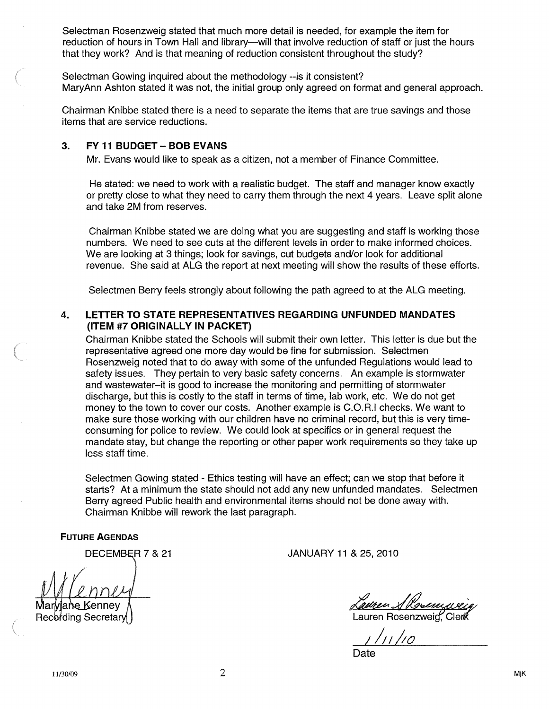Selectman Rosenzweig stated that much more detail is needed, for example the item for reduction of hours in Town Hall and library—will that involve reduction of staff or just the hours that they work? And is that meaning of reduction consistent throughout the study?

Selectman Gowing inquired about the methodology --is it consistent? MaryAnn Ashton stated it was not, the initial group only agreed on format and general approach.

Chairman Knibbe stated there is a need to separate the items that are true savings and those items that are service reductions.

#### 3. FY11 BUDGET-BOB EVANS

Mr. Evans would like to speak as a citizen, not a member of Finance Committee.

He stated: we need to work with a realistic budget. The staff and manager know exactly or pretty close to what they need to carry them through the next 4 years. Leave split alone and take 2M from reserves.

Chairman Knibbe stated we are doing what you are suggesting and staff is working those numbers. We need to see cuts at the different levels in order to make informed choices. We are looking at 3 things; look for savings, cut budgets and/or look for additional revenue. She said at ALG the report at next meeting will show the results of these efforts.

Selectmen Berry feels strongly about following the path agreed to at the ALG meeting.

#### 4. LETTER TO STATE REPRESENTATIVES REGARDING UNFUNDED MANDATES (ITEM #7 ORIGINALLY IN PACKET)

Chairman Knibbe stated the Schools will submit their own letter. This letter is due but the representative agreed one more day would be fine for submission. Selectmen Rosenzweig noted that to do away with some of the unfunded Regulations would lead to safety issues. They pertain to very basic safety concerns. An example is stormwater and wastewater—it is good to increase the monitoring and permitting of stormwater discharge, but this is costly to the staff in terms of time, lab work, etc. We do not get money to the town to cover our costs. Another example is C.O.R.I checks. We want to make sure those working with our children have no criminal record, but this is very timeconsuming for police to review. We could look at specifics or in general request the mandate stay, but change the reporting or other paper work requirements so they take up less staff time.

Selectmen Gowing stated - Ethics testing will have an effect; can we stop that before it starts? At a minimum the state should not add any new unfunded mandates. Selectmen Berry agreed Public health and environmental items should not be done away with. Chairman Knibbe will rework the last paragraph.

FUTURE AGENDAS

 $n \ell 4$ Maryjane Kennev Recording Secretary

DECEMBR 7 & 21 JANUARY 11 & 25, 2010

<u>Lauren S Rosen</u> Lauren Rosenzweig, Clerk

1//I//c

Date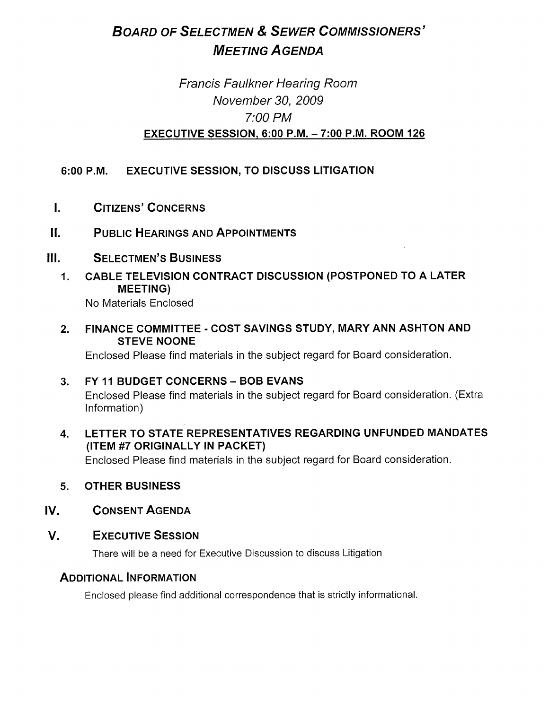# BOARD OF SELECTMEN & SEWER COMMISSIONERS' **MEETING AGENDA**

## Francis Faulkner Hearing Room November 30, 2009 7:00 PM EXECUTIVE SESSION, 6:00 P.M. — 7:00 P.M. ROOM 126

## 6:00 P.M. EXECUTIVE SESSION, TO DISCUSS LITIGATION

- CITIZENS' CONCERNS  $\mathbf{L}$
- II. PUBLIC HEARINGS AND APPOINTMENTS
- III. SELECTMEN'S BUSINESS
	- 1. CABLE TELEVISION CONTRACT DISCUSSION (POSTPONED TO A LATER MEETING)

No Materials Enclosed

2. FINANCE COMMITTEE - COST SAVINGS STUDY, MARY ANN ASHTON AND STEVE NOONE

Enclosed Please find materials in the subject regard for Board consideration.

- 3. FY 11 BUDGET CONCERNS BOB EVANS Enclosed Please find materials in the subject regard for Board consideration. (Extra Information)
- 4. LETTER TO STATE REPRESENTATIVES REGARDING UNFUNDED MANDATES (ITEM #7 ORIGINALLY IN PACKET)

Enclosed Please find materials in the subject regard for Board consideration.

- 5. OTHER BUSINESS
- IV. CONSENT AGENDA
- V. EXECUTIVE SESSION

There will be a need for Executive Discussion to discuss Litigation

### ADDITIONAL INFORMATION

Enclosed please find additional correspondence that is strictly informational.